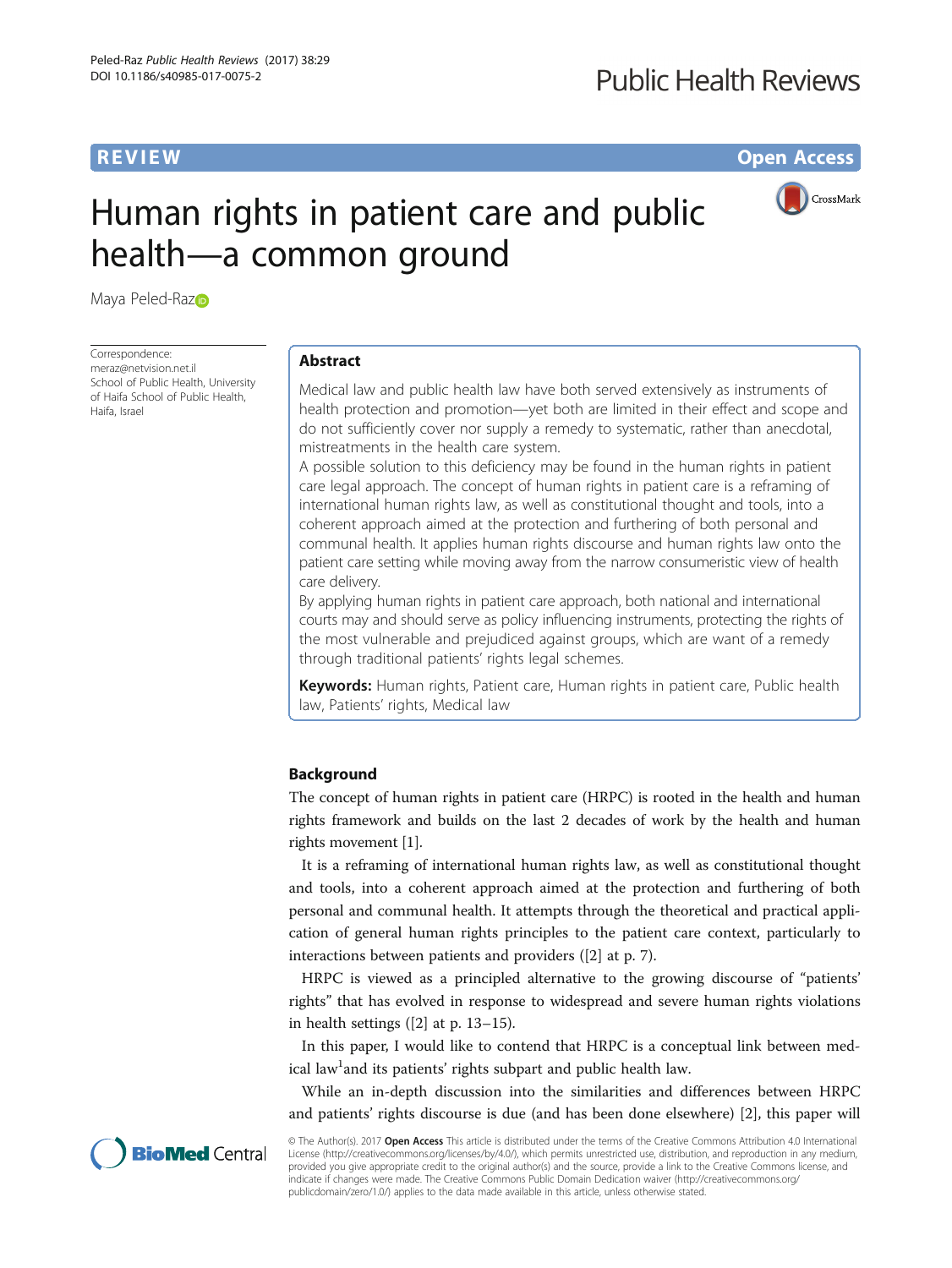**REVIEW CONTROL** CONTROL CONTROL CONTROL CONTROL CONTROL CONTROL CONTROL CONTROL CONTROL CONTROL CONTROL CONTROL CONTROL CONTROL CONTROL CONTROL CONTROL CONTROL CONTROL CONTROL CONTROL CONTROL CONTROL CONTROL CONTROL CONTR



# Human rights in patient care and public health—a common ground

Maya Peled-Razo

Correspondence: [meraz@netvision.net.il](mailto:meraz@netvision.net.il) School of Public Health, University of Haifa School of Public Health, Haifa, Israel

## Abstract

Medical law and public health law have both served extensively as instruments of health protection and promotion—yet both are limited in their effect and scope and do not sufficiently cover nor supply a remedy to systematic, rather than anecdotal, mistreatments in the health care system.

A possible solution to this deficiency may be found in the human rights in patient care legal approach. The concept of human rights in patient care is a reframing of international human rights law, as well as constitutional thought and tools, into a coherent approach aimed at the protection and furthering of both personal and communal health. It applies human rights discourse and human rights law onto the patient care setting while moving away from the narrow consumeristic view of health care delivery.

By applying human rights in patient care approach, both national and international courts may and should serve as policy influencing instruments, protecting the rights of the most vulnerable and prejudiced against groups, which are want of a remedy through traditional patients' rights legal schemes.

Keywords: Human rights, Patient care, Human rights in patient care, Public health law, Patients' rights, Medical law

## Background

The concept of human rights in patient care (HRPC) is rooted in the health and human rights framework and builds on the last 2 decades of work by the health and human rights movement [\[1](#page-8-0)].

It is a reframing of international human rights law, as well as constitutional thought and tools, into a coherent approach aimed at the protection and furthering of both personal and communal health. It attempts through the theoretical and practical application of general human rights principles to the patient care context, particularly to interactions between patients and providers ([[2\]](#page-8-0) at p. 7).

HRPC is viewed as a principled alternative to the growing discourse of "patients' rights" that has evolved in response to widespread and severe human rights violations in health settings ([[2\]](#page-8-0) at p. 13–15).

In this paper, I would like to contend that HRPC is a conceptual link between medical law<sup>1</sup>and its patients' rights subpart and public health law.

While an in-depth discussion into the similarities and differences between HRPC and patients' rights discourse is due (and has been done elsewhere) [\[2](#page-8-0)], this paper will

© The Author(s). 2017 Open Access This article is distributed under the terms of the Creative Commons Attribution 4.0 International License ([http://creativecommons.org/licenses/by/4.0/\)](http://creativecommons.org/licenses/by/4.0/), which permits unrestricted use, distribution, and reproduction in any medium, provided you give appropriate credit to the original author(s) and the source, provide a link to the Creative Commons license, and indicate if changes were made. The Creative Commons Public Domain Dedication waiver ([http://creativecommons.org/](http://creativecommons.org/publicdomain/zero/1.0/) [publicdomain/zero/1.0/\)](http://creativecommons.org/publicdomain/zero/1.0/) applies to the data made available in this article, unless otherwise stated.

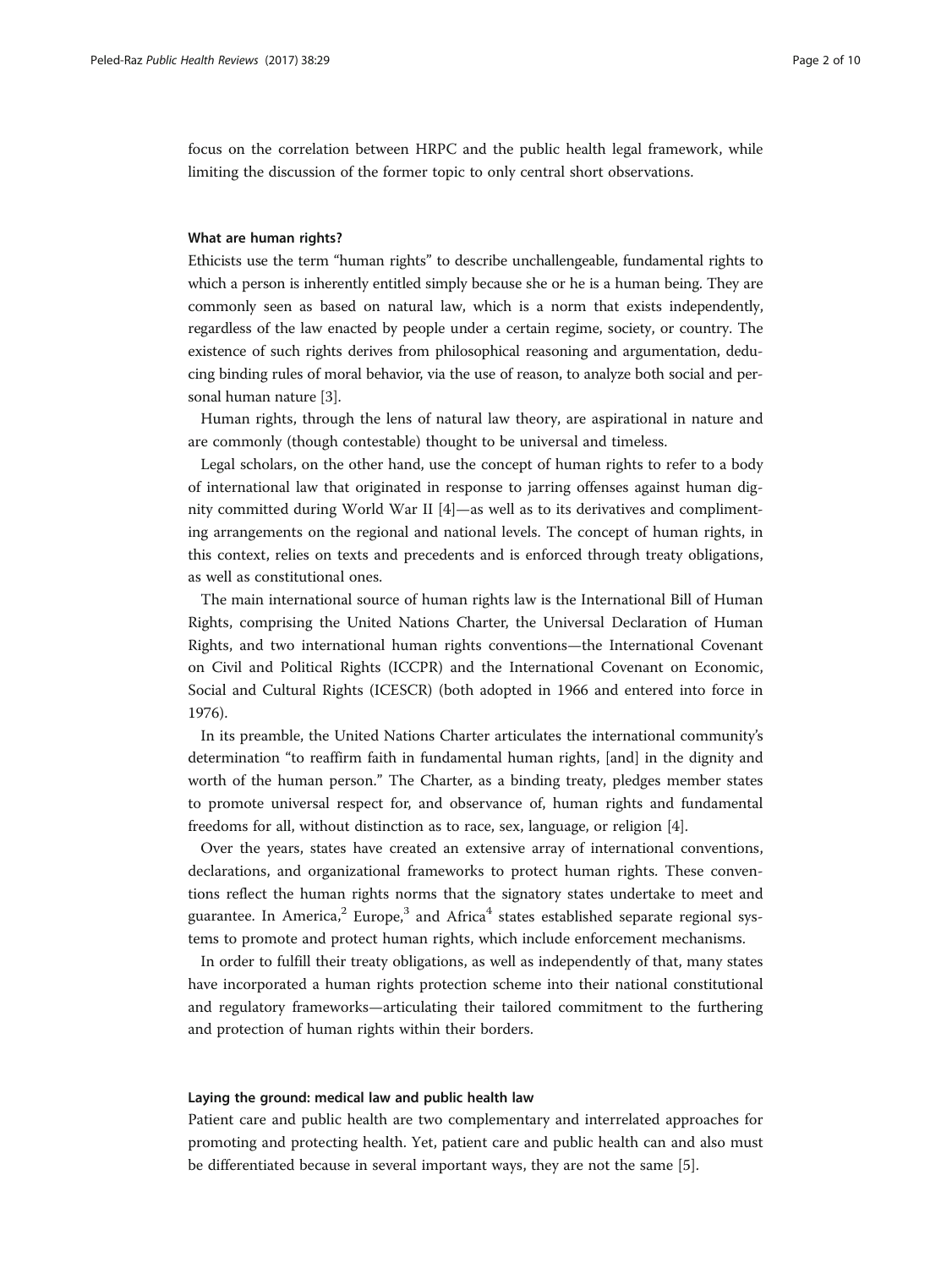focus on the correlation between HRPC and the public health legal framework, while limiting the discussion of the former topic to only central short observations.

## What are human rights?

Ethicists use the term "human rights" to describe unchallengeable, fundamental rights to which a person is inherently entitled simply because she or he is a human being. They are commonly seen as based on natural law, which is a norm that exists independently, regardless of the law enacted by people under a certain regime, society, or country. The existence of such rights derives from philosophical reasoning and argumentation, deducing binding rules of moral behavior, via the use of reason, to analyze both social and personal human nature [\[3](#page-8-0)].

Human rights, through the lens of natural law theory, are aspirational in nature and are commonly (though contestable) thought to be universal and timeless.

Legal scholars, on the other hand, use the concept of human rights to refer to a body of international law that originated in response to jarring offenses against human dignity committed during World War II [\[4](#page-9-0)]—as well as to its derivatives and complimenting arrangements on the regional and national levels. The concept of human rights, in this context, relies on texts and precedents and is enforced through treaty obligations, as well as constitutional ones.

The main international source of human rights law is the International Bill of Human Rights, comprising the United Nations Charter, the Universal Declaration of Human Rights, and two international human rights conventions—the International Covenant on Civil and Political Rights (ICCPR) and the International Covenant on Economic, Social and Cultural Rights (ICESCR) (both adopted in 1966 and entered into force in 1976).

In its preamble, the United Nations Charter articulates the international community's determination "to reaffirm faith in fundamental human rights, [and] in the dignity and worth of the human person." The Charter, as a binding treaty, pledges member states to promote universal respect for, and observance of, human rights and fundamental freedoms for all, without distinction as to race, sex, language, or religion [[4](#page-9-0)].

Over the years, states have created an extensive array of international conventions, declarations, and organizational frameworks to protect human rights. These conventions reflect the human rights norms that the signatory states undertake to meet and guarantee. In America,<sup>2</sup> Europe,<sup>3</sup> and Africa<sup>4</sup> states established separate regional systems to promote and protect human rights, which include enforcement mechanisms.

In order to fulfill their treaty obligations, as well as independently of that, many states have incorporated a human rights protection scheme into their national constitutional and regulatory frameworks—articulating their tailored commitment to the furthering and protection of human rights within their borders.

## Laying the ground: medical law and public health law

Patient care and public health are two complementary and interrelated approaches for promoting and protecting health. Yet, patient care and public health can and also must be differentiated because in several important ways, they are not the same [\[5](#page-9-0)].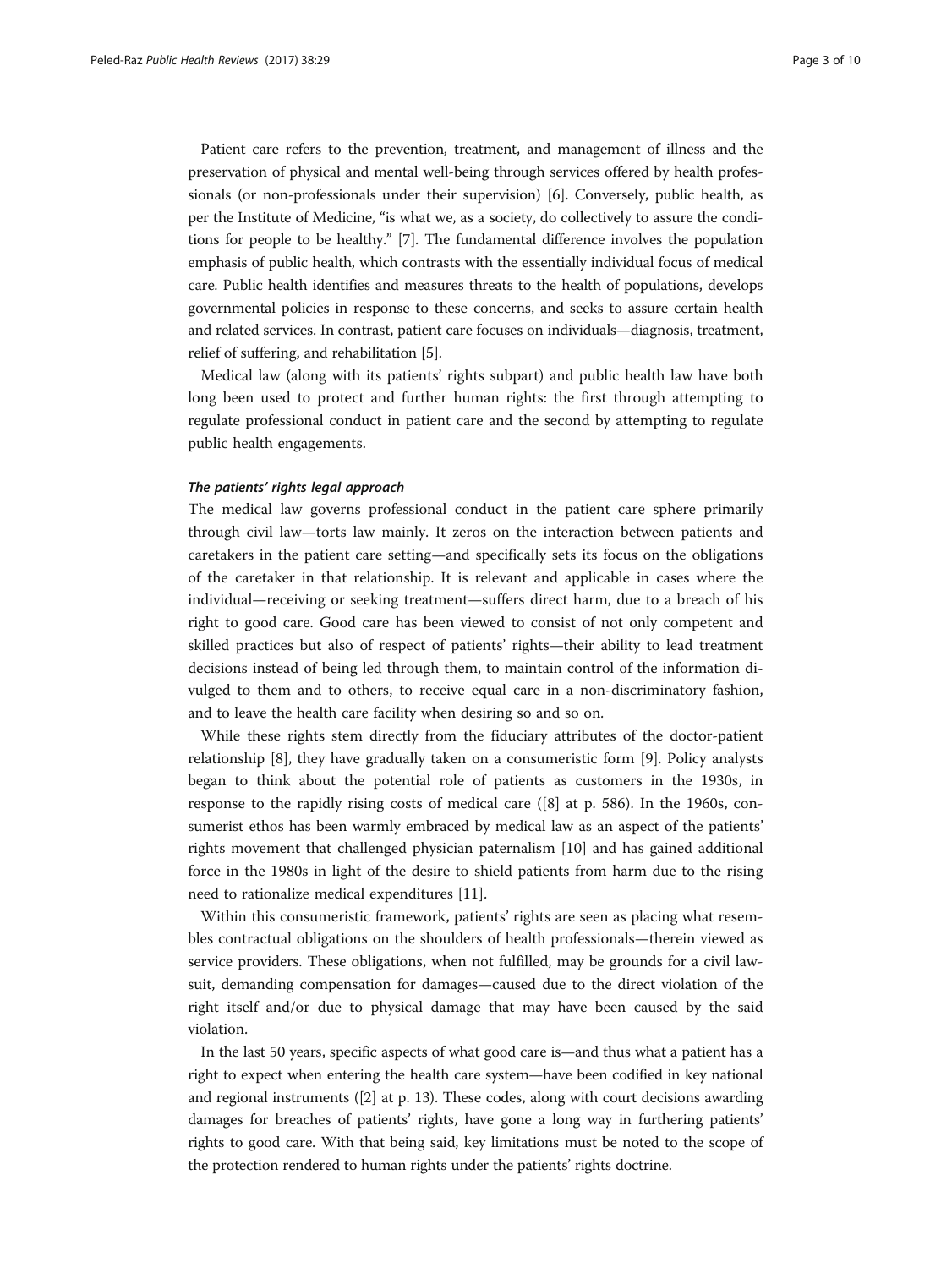Patient care refers to the prevention, treatment, and management of illness and the preservation of physical and mental well-being through services offered by health professionals (or non-professionals under their supervision) [[6\]](#page-9-0). Conversely, public health, as per the Institute of Medicine, "is what we, as a society, do collectively to assure the conditions for people to be healthy." [\[7\]](#page-9-0). The fundamental difference involves the population emphasis of public health, which contrasts with the essentially individual focus of medical care. Public health identifies and measures threats to the health of populations, develops governmental policies in response to these concerns, and seeks to assure certain health and related services. In contrast, patient care focuses on individuals—diagnosis, treatment, relief of suffering, and rehabilitation [[5](#page-9-0)].

Medical law (along with its patients' rights subpart) and public health law have both long been used to protect and further human rights: the first through attempting to regulate professional conduct in patient care and the second by attempting to regulate public health engagements.

## The patients' rights legal approach

The medical law governs professional conduct in the patient care sphere primarily through civil law—torts law mainly. It zeros on the interaction between patients and caretakers in the patient care setting—and specifically sets its focus on the obligations of the caretaker in that relationship. It is relevant and applicable in cases where the individual—receiving or seeking treatment—suffers direct harm, due to a breach of his right to good care. Good care has been viewed to consist of not only competent and skilled practices but also of respect of patients' rights—their ability to lead treatment decisions instead of being led through them, to maintain control of the information divulged to them and to others, to receive equal care in a non-discriminatory fashion, and to leave the health care facility when desiring so and so on.

While these rights stem directly from the fiduciary attributes of the doctor-patient relationship [\[8](#page-9-0)], they have gradually taken on a consumeristic form [[9\]](#page-9-0). Policy analysts began to think about the potential role of patients as customers in the 1930s, in response to the rapidly rising costs of medical care ([\[8](#page-9-0)] at p. 586). In the 1960s, consumerist ethos has been warmly embraced by medical law as an aspect of the patients' rights movement that challenged physician paternalism [\[10](#page-9-0)] and has gained additional force in the 1980s in light of the desire to shield patients from harm due to the rising need to rationalize medical expenditures [[11\]](#page-9-0).

Within this consumeristic framework, patients' rights are seen as placing what resembles contractual obligations on the shoulders of health professionals—therein viewed as service providers. These obligations, when not fulfilled, may be grounds for a civil lawsuit, demanding compensation for damages—caused due to the direct violation of the right itself and/or due to physical damage that may have been caused by the said violation.

In the last 50 years, specific aspects of what good care is—and thus what a patient has a right to expect when entering the health care system—have been codified in key national and regional instruments ([[2\]](#page-8-0) at p. 13). These codes, along with court decisions awarding damages for breaches of patients' rights, have gone a long way in furthering patients' rights to good care. With that being said, key limitations must be noted to the scope of the protection rendered to human rights under the patients' rights doctrine.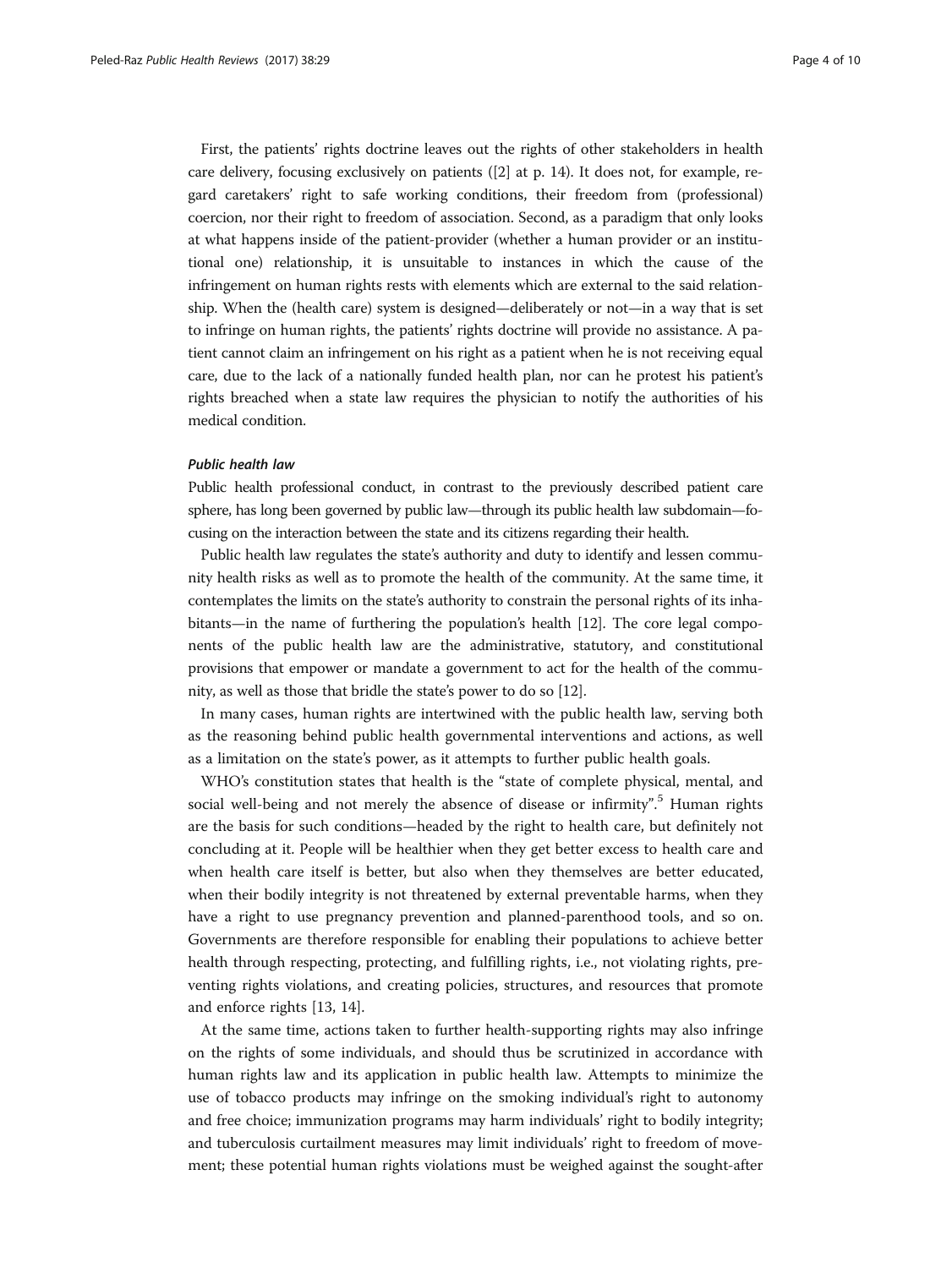First, the patients' rights doctrine leaves out the rights of other stakeholders in health care delivery, focusing exclusively on patients ( $[2]$  $[2]$  $[2]$  at p. 14). It does not, for example, regard caretakers' right to safe working conditions, their freedom from (professional) coercion, nor their right to freedom of association. Second, as a paradigm that only looks at what happens inside of the patient-provider (whether a human provider or an institutional one) relationship, it is unsuitable to instances in which the cause of the infringement on human rights rests with elements which are external to the said relationship. When the (health care) system is designed—deliberately or not—in a way that is set to infringe on human rights, the patients' rights doctrine will provide no assistance. A patient cannot claim an infringement on his right as a patient when he is not receiving equal care, due to the lack of a nationally funded health plan, nor can he protest his patient's rights breached when a state law requires the physician to notify the authorities of his medical condition.

Public health professional conduct, in contrast to the previously described patient care sphere, has long been governed by public law—through its public health law subdomain—focusing on the interaction between the state and its citizens regarding their health.

Public health law regulates the state's authority and duty to identify and lessen community health risks as well as to promote the health of the community. At the same time, it contemplates the limits on the state's authority to constrain the personal rights of its inhabitants—in the name of furthering the population's health [\[12\]](#page-9-0). The core legal components of the public health law are the administrative, statutory, and constitutional provisions that empower or mandate a government to act for the health of the community, as well as those that bridle the state's power to do so [\[12\]](#page-9-0).

In many cases, human rights are intertwined with the public health law, serving both as the reasoning behind public health governmental interventions and actions, as well as a limitation on the state's power, as it attempts to further public health goals.

WHO's constitution states that health is the "state of complete physical, mental, and social well-being and not merely the absence of disease or infirmity". <sup>5</sup> Human rights are the basis for such conditions—headed by the right to health care, but definitely not concluding at it. People will be healthier when they get better excess to health care and when health care itself is better, but also when they themselves are better educated, when their bodily integrity is not threatened by external preventable harms, when they have a right to use pregnancy prevention and planned-parenthood tools, and so on. Governments are therefore responsible for enabling their populations to achieve better health through respecting, protecting, and fulfilling rights, i.e., not violating rights, preventing rights violations, and creating policies, structures, and resources that promote and enforce rights [\[13](#page-9-0), [14\]](#page-9-0).

At the same time, actions taken to further health-supporting rights may also infringe on the rights of some individuals, and should thus be scrutinized in accordance with human rights law and its application in public health law. Attempts to minimize the use of tobacco products may infringe on the smoking individual's right to autonomy and free choice; immunization programs may harm individuals' right to bodily integrity; and tuberculosis curtailment measures may limit individuals' right to freedom of movement; these potential human rights violations must be weighed against the sought-after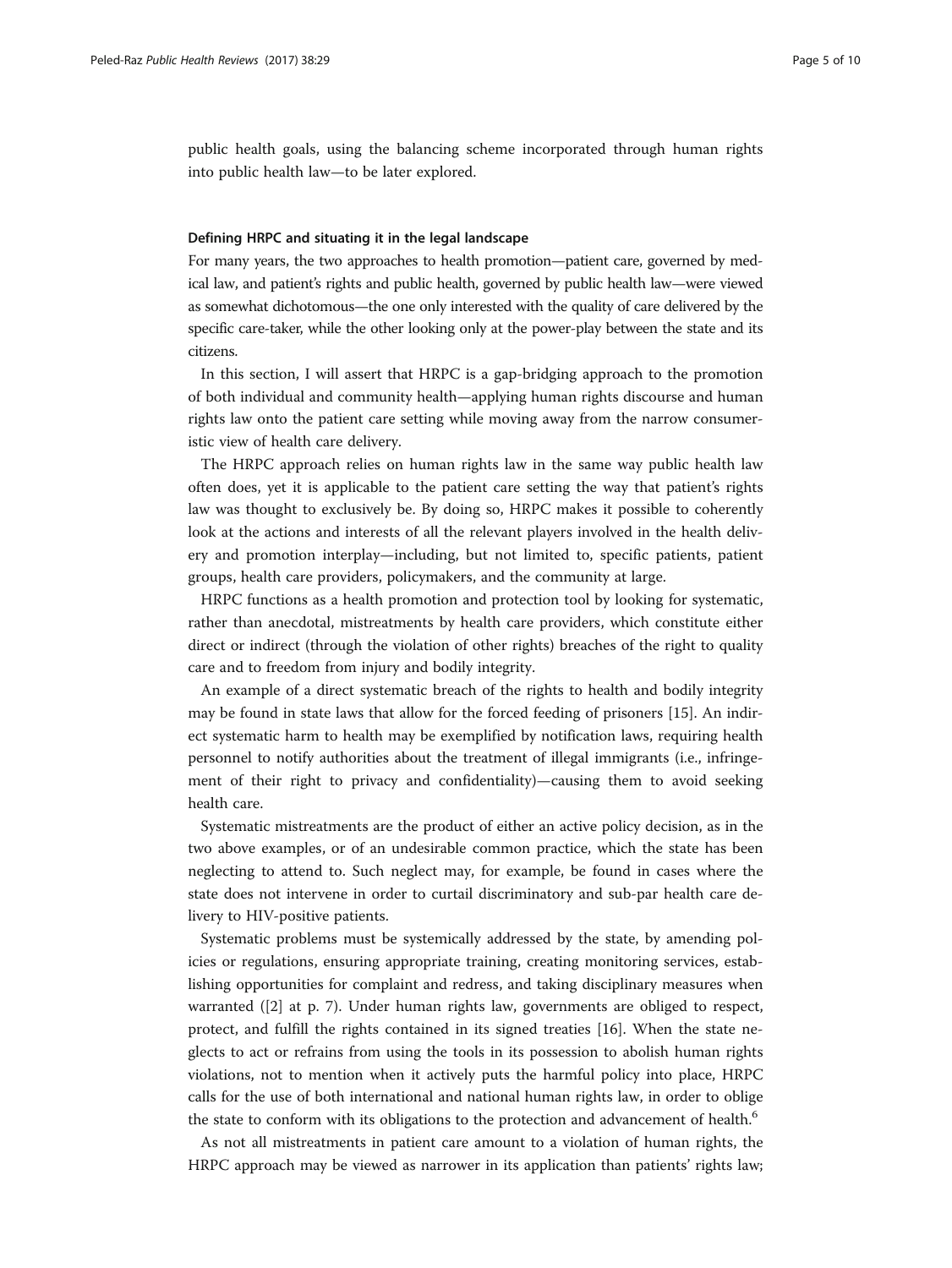public health goals, using the balancing scheme incorporated through human rights into public health law—to be later explored.

## Defining HRPC and situating it in the legal landscape

For many years, the two approaches to health promotion—patient care, governed by medical law, and patient's rights and public health, governed by public health law—were viewed as somewhat dichotomous—the one only interested with the quality of care delivered by the specific care-taker, while the other looking only at the power-play between the state and its citizens.

In this section, I will assert that HRPC is a gap-bridging approach to the promotion of both individual and community health—applying human rights discourse and human rights law onto the patient care setting while moving away from the narrow consumeristic view of health care delivery.

The HRPC approach relies on human rights law in the same way public health law often does, yet it is applicable to the patient care setting the way that patient's rights law was thought to exclusively be. By doing so, HRPC makes it possible to coherently look at the actions and interests of all the relevant players involved in the health delivery and promotion interplay—including, but not limited to, specific patients, patient groups, health care providers, policymakers, and the community at large.

HRPC functions as a health promotion and protection tool by looking for systematic, rather than anecdotal, mistreatments by health care providers, which constitute either direct or indirect (through the violation of other rights) breaches of the right to quality care and to freedom from injury and bodily integrity.

An example of a direct systematic breach of the rights to health and bodily integrity may be found in state laws that allow for the forced feeding of prisoners [\[15](#page-9-0)]. An indirect systematic harm to health may be exemplified by notification laws, requiring health personnel to notify authorities about the treatment of illegal immigrants (i.e., infringement of their right to privacy and confidentiality)—causing them to avoid seeking health care.

Systematic mistreatments are the product of either an active policy decision, as in the two above examples, or of an undesirable common practice, which the state has been neglecting to attend to. Such neglect may, for example, be found in cases where the state does not intervene in order to curtail discriminatory and sub-par health care delivery to HIV-positive patients.

Systematic problems must be systemically addressed by the state, by amending policies or regulations, ensuring appropriate training, creating monitoring services, establishing opportunities for complaint and redress, and taking disciplinary measures when warranted ([\[2\]](#page-8-0) at p. 7). Under human rights law, governments are obliged to respect, protect, and fulfill the rights contained in its signed treaties [[16\]](#page-9-0). When the state neglects to act or refrains from using the tools in its possession to abolish human rights violations, not to mention when it actively puts the harmful policy into place, HRPC calls for the use of both international and national human rights law, in order to oblige the state to conform with its obligations to the protection and advancement of health.<sup>6</sup>

As not all mistreatments in patient care amount to a violation of human rights, the HRPC approach may be viewed as narrower in its application than patients' rights law;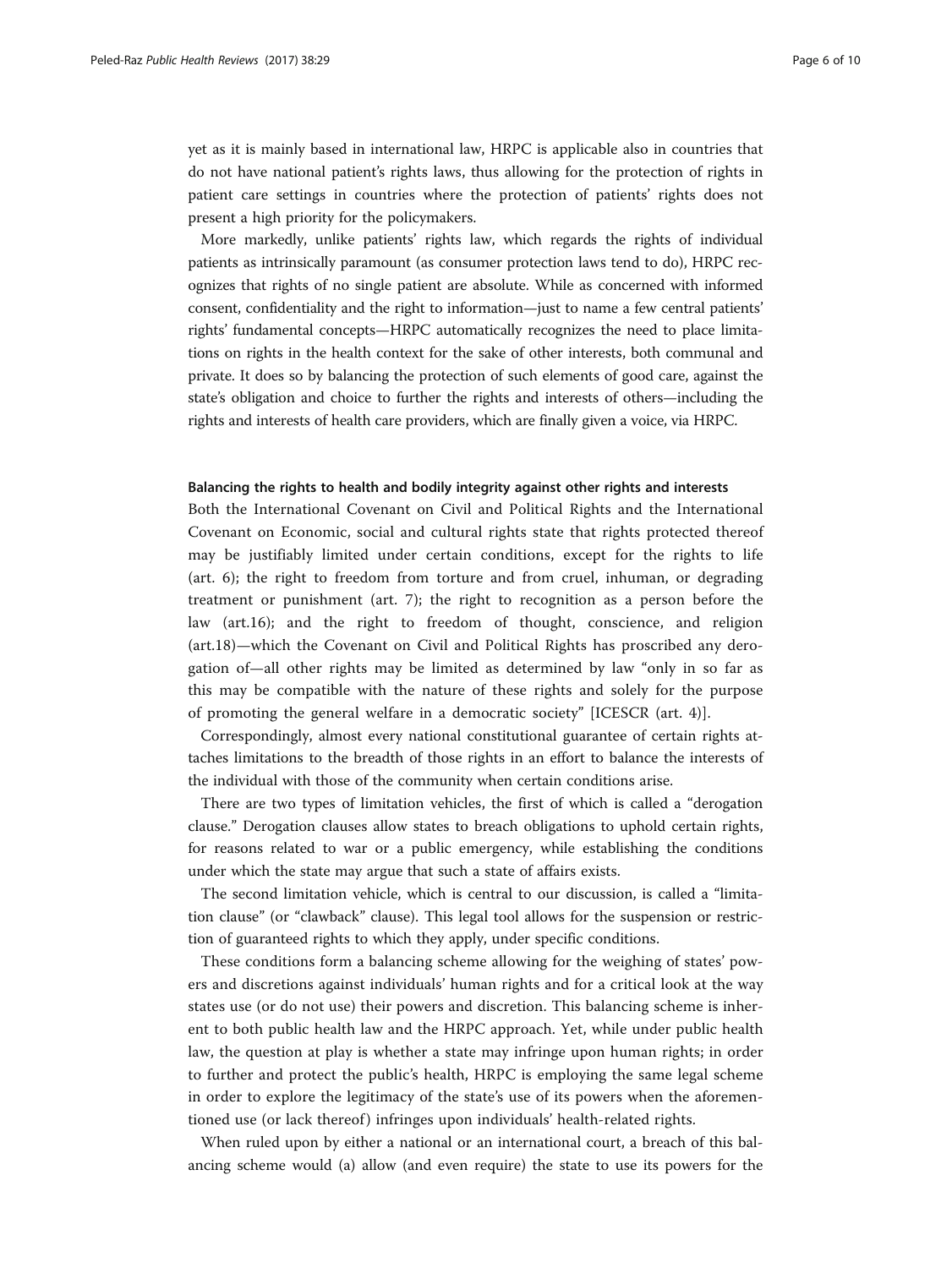yet as it is mainly based in international law, HRPC is applicable also in countries that do not have national patient's rights laws, thus allowing for the protection of rights in patient care settings in countries where the protection of patients' rights does not present a high priority for the policymakers.

More markedly, unlike patients' rights law, which regards the rights of individual patients as intrinsically paramount (as consumer protection laws tend to do), HRPC recognizes that rights of no single patient are absolute. While as concerned with informed consent, confidentiality and the right to information—just to name a few central patients' rights' fundamental concepts—HRPC automatically recognizes the need to place limitations on rights in the health context for the sake of other interests, both communal and private. It does so by balancing the protection of such elements of good care, against the state's obligation and choice to further the rights and interests of others—including the rights and interests of health care providers, which are finally given a voice, via HRPC.

## Balancing the rights to health and bodily integrity against other rights and interests

Both the International Covenant on Civil and Political Rights and the International Covenant on Economic, social and cultural rights state that rights protected thereof may be justifiably limited under certain conditions, except for the rights to life (art. 6); the right to freedom from torture and from cruel, inhuman, or degrading treatment or punishment (art. 7); the right to recognition as a person before the law (art.16); and the right to freedom of thought, conscience, and religion (art.18)—which the Covenant on Civil and Political Rights has proscribed any derogation of—all other rights may be limited as determined by law "only in so far as this may be compatible with the nature of these rights and solely for the purpose of promoting the general welfare in a democratic society" [ICESCR (art. 4)].

Correspondingly, almost every national constitutional guarantee of certain rights attaches limitations to the breadth of those rights in an effort to balance the interests of the individual with those of the community when certain conditions arise.

There are two types of limitation vehicles, the first of which is called a "derogation clause." Derogation clauses allow states to breach obligations to uphold certain rights, for reasons related to war or a public emergency, while establishing the conditions under which the state may argue that such a state of affairs exists.

The second limitation vehicle, which is central to our discussion, is called a "limitation clause" (or "clawback" clause). This legal tool allows for the suspension or restriction of guaranteed rights to which they apply, under specific conditions.

These conditions form a balancing scheme allowing for the weighing of states' powers and discretions against individuals' human rights and for a critical look at the way states use (or do not use) their powers and discretion. This balancing scheme is inherent to both public health law and the HRPC approach. Yet, while under public health law, the question at play is whether a state may infringe upon human rights; in order to further and protect the public's health, HRPC is employing the same legal scheme in order to explore the legitimacy of the state's use of its powers when the aforementioned use (or lack thereof) infringes upon individuals' health-related rights.

When ruled upon by either a national or an international court, a breach of this balancing scheme would (a) allow (and even require) the state to use its powers for the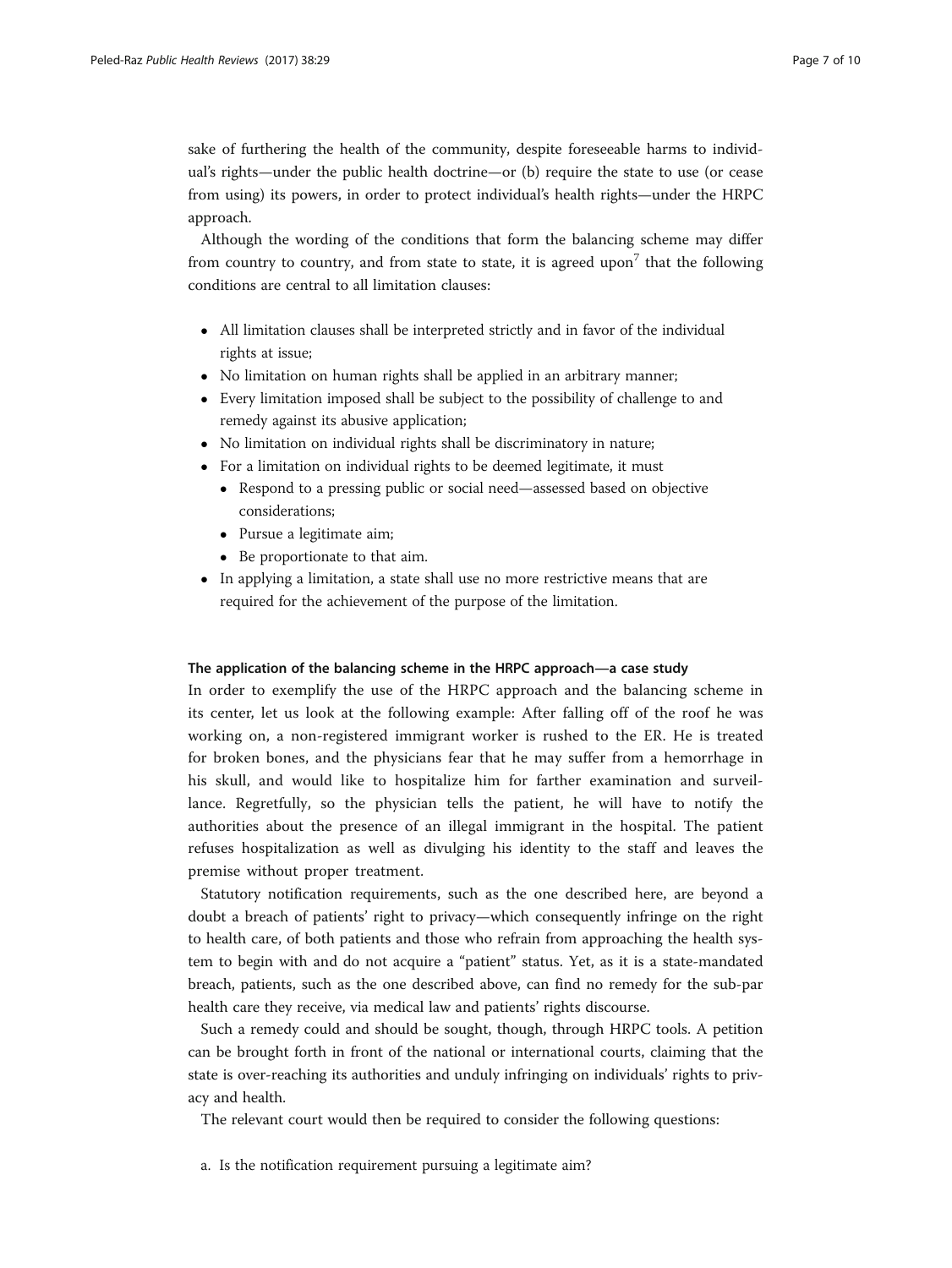sake of furthering the health of the community, despite foreseeable harms to individual's rights—under the public health doctrine—or (b) require the state to use (or cease from using) its powers, in order to protect individual's health rights—under the HRPC approach.

Although the wording of the conditions that form the balancing scheme may differ from country to country, and from state to state, it is agreed upon<sup> $\gamma$ </sup> that the following conditions are central to all limitation clauses:

- All limitation clauses shall be interpreted strictly and in favor of the individual rights at issue;
- No limitation on human rights shall be applied in an arbitrary manner;
- Every limitation imposed shall be subject to the possibility of challenge to and remedy against its abusive application;
- No limitation on individual rights shall be discriminatory in nature;
- For a limitation on individual rights to be deemed legitimate, it must
	- Respond to a pressing public or social need—assessed based on objective considerations;
	- Pursue a legitimate aim;
	- Be proportionate to that aim.
- In applying a limitation, a state shall use no more restrictive means that are required for the achievement of the purpose of the limitation.

## The application of the balancing scheme in the HRPC approach—a case study

In order to exemplify the use of the HRPC approach and the balancing scheme in its center, let us look at the following example: After falling off of the roof he was working on, a non-registered immigrant worker is rushed to the ER. He is treated for broken bones, and the physicians fear that he may suffer from a hemorrhage in his skull, and would like to hospitalize him for farther examination and surveillance. Regretfully, so the physician tells the patient, he will have to notify the authorities about the presence of an illegal immigrant in the hospital. The patient refuses hospitalization as well as divulging his identity to the staff and leaves the premise without proper treatment.

Statutory notification requirements, such as the one described here, are beyond a doubt a breach of patients' right to privacy—which consequently infringe on the right to health care, of both patients and those who refrain from approaching the health system to begin with and do not acquire a "patient" status. Yet, as it is a state-mandated breach, patients, such as the one described above, can find no remedy for the sub-par health care they receive, via medical law and patients' rights discourse.

Such a remedy could and should be sought, though, through HRPC tools. A petition can be brought forth in front of the national or international courts, claiming that the state is over-reaching its authorities and unduly infringing on individuals' rights to privacy and health.

The relevant court would then be required to consider the following questions:

a. Is the notification requirement pursuing a legitimate aim?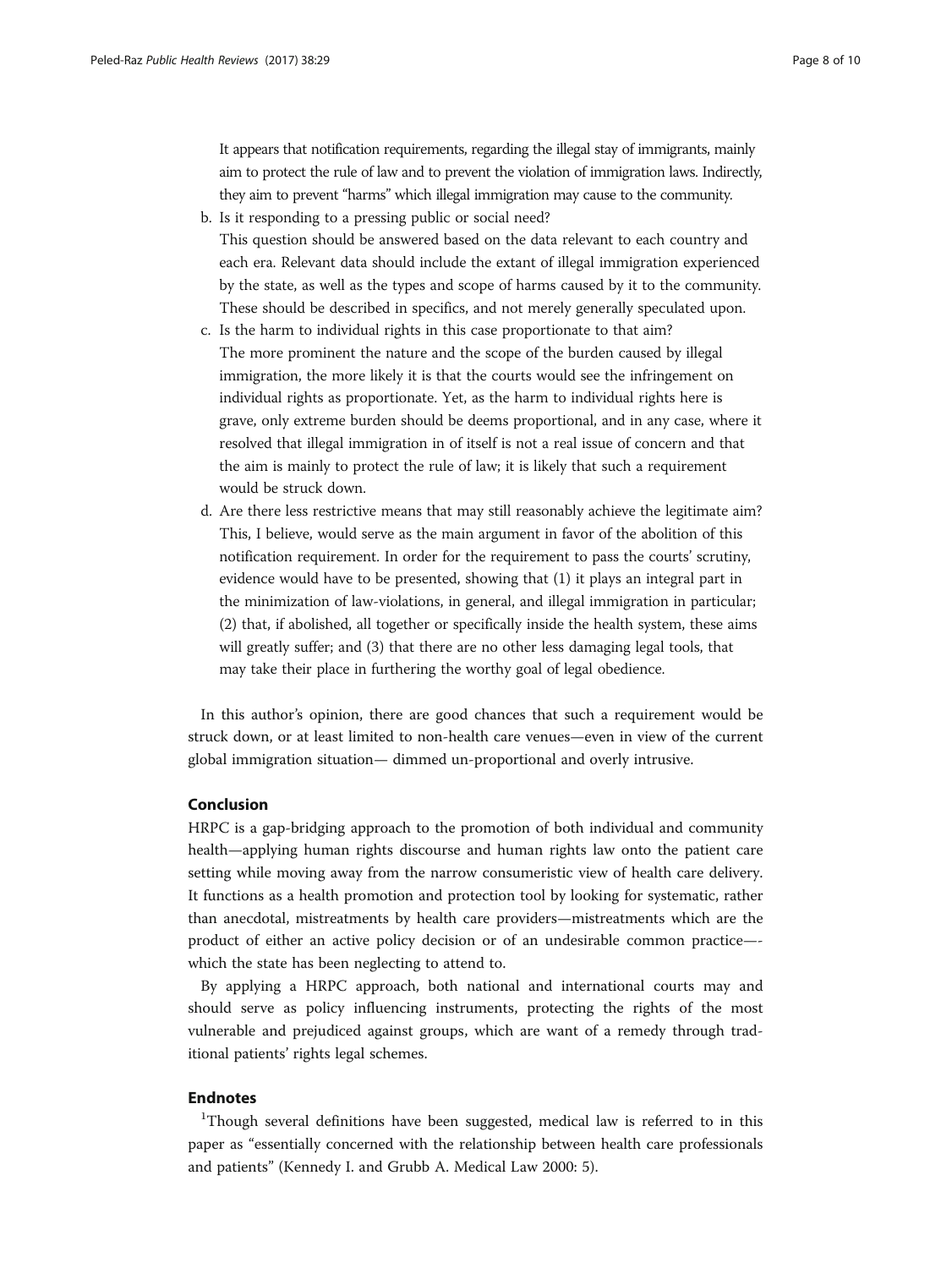It appears that notification requirements, regarding the illegal stay of immigrants, mainly aim to protect the rule of law and to prevent the violation of immigration laws. Indirectly, they aim to prevent "harms" which illegal immigration may cause to the community.

- b. Is it responding to a pressing public or social need? This question should be answered based on the data relevant to each country and each era. Relevant data should include the extant of illegal immigration experienced by the state, as well as the types and scope of harms caused by it to the community. These should be described in specifics, and not merely generally speculated upon.
- c. Is the harm to individual rights in this case proportionate to that aim? The more prominent the nature and the scope of the burden caused by illegal immigration, the more likely it is that the courts would see the infringement on individual rights as proportionate. Yet, as the harm to individual rights here is grave, only extreme burden should be deems proportional, and in any case, where it resolved that illegal immigration in of itself is not a real issue of concern and that the aim is mainly to protect the rule of law; it is likely that such a requirement would be struck down.
- d. Are there less restrictive means that may still reasonably achieve the legitimate aim? This, I believe, would serve as the main argument in favor of the abolition of this notification requirement. In order for the requirement to pass the courts' scrutiny, evidence would have to be presented, showing that (1) it plays an integral part in the minimization of law-violations, in general, and illegal immigration in particular; (2) that, if abolished, all together or specifically inside the health system, these aims will greatly suffer; and (3) that there are no other less damaging legal tools, that may take their place in furthering the worthy goal of legal obedience.

In this author's opinion, there are good chances that such a requirement would be struck down, or at least limited to non-health care venues—even in view of the current global immigration situation— dimmed un-proportional and overly intrusive.

## Conclusion

HRPC is a gap-bridging approach to the promotion of both individual and community health—applying human rights discourse and human rights law onto the patient care setting while moving away from the narrow consumeristic view of health care delivery. It functions as a health promotion and protection tool by looking for systematic, rather than anecdotal, mistreatments by health care providers—mistreatments which are the product of either an active policy decision or of an undesirable common practice— which the state has been neglecting to attend to.

By applying a HRPC approach, both national and international courts may and should serve as policy influencing instruments, protecting the rights of the most vulnerable and prejudiced against groups, which are want of a remedy through traditional patients' rights legal schemes.

## Endnotes

<sup>1</sup>Though several definitions have been suggested, medical law is referred to in this paper as "essentially concerned with the relationship between health care professionals and patients" (Kennedy I. and Grubb A. Medical Law 2000: 5).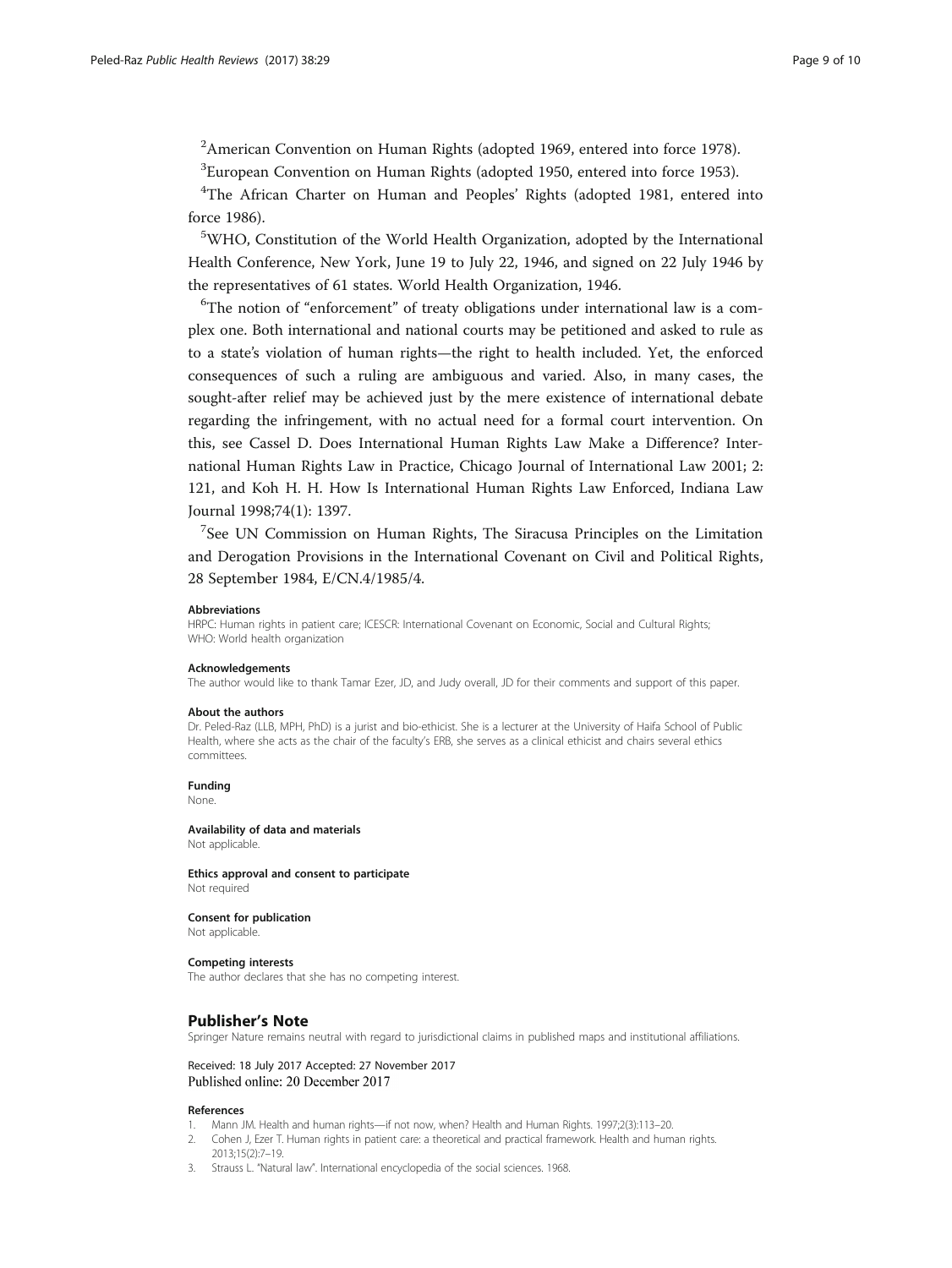<span id="page-8-0"></span> $2$ American Convention on Human Rights (adopted 1969, entered into force 1978).

<sup>3</sup>European Convention on Human Rights (adopted 1950, entered into force 1953).

<sup>4</sup>The African Charter on Human and Peoples' Rights (adopted 1981, entered into force 1986).

<sup>5</sup>WHO, Constitution of the World Health Organization, adopted by the International Health Conference, New York, June 19 to July 22, 1946, and signed on 22 July 1946 by the representatives of 61 states. World Health Organization, 1946.

<sup>6</sup>The notion of "enforcement" of treaty obligations under international law is a complex one. Both international and national courts may be petitioned and asked to rule as to a state's violation of human rights—the right to health included. Yet, the enforced consequences of such a ruling are ambiguous and varied. Also, in many cases, the sought-after relief may be achieved just by the mere existence of international debate regarding the infringement, with no actual need for a formal court intervention. On this, see Cassel D. Does International Human Rights Law Make a Difference? International Human Rights Law in Practice, Chicago Journal of International Law 2001; 2: 121, and Koh H. H. How Is International Human Rights Law Enforced, Indiana Law Journal 1998;74(1): 1397.

<sup>7</sup>See UN Commission on Human Rights, The Siracusa Principles on the Limitation and Derogation Provisions in the International Covenant on Civil and Political Rights, 28 September 1984, E/CN.4/1985/4.

#### Abbreviations

HRPC: Human rights in patient care; ICESCR: International Covenant on Economic, Social and Cultural Rights; WHO: World health organization

#### Acknowledgements

The author would like to thank Tamar Ezer, JD, and Judy overall, JD for their comments and support of this paper.

#### About the authors

Dr. Peled-Raz (LLB, MPH, PhD) is a jurist and bio-ethicist. She is a lecturer at the University of Haifa School of Public Health, where she acts as the chair of the faculty's ERB, she serves as a clinical ethicist and chairs several ethics committees.

## Funding

None.

## Availability of data and materials

Not applicable.

## Ethics approval and consent to participate

Not required

## Consent for publication

Not applicable.

## Competing interests

The author declares that she has no competing interest.

## Publisher's Note

Springer Nature remains neutral with regard to jurisdictional claims in published maps and institutional affiliations.

Received: 18 July 2017 Accepted: 27 November 2017 Published online: 20 December 2017

## References

- 1. Mann JM. Health and human rights—if not now, when? Health and Human Rights. 1997;2(3):113–20.
- 2. Cohen J, Ezer T. Human rights in patient care: a theoretical and practical framework. Health and human rights. 2013;15(2):7–19.
- 3. Strauss L. "Natural law". International encyclopedia of the social sciences. 1968.